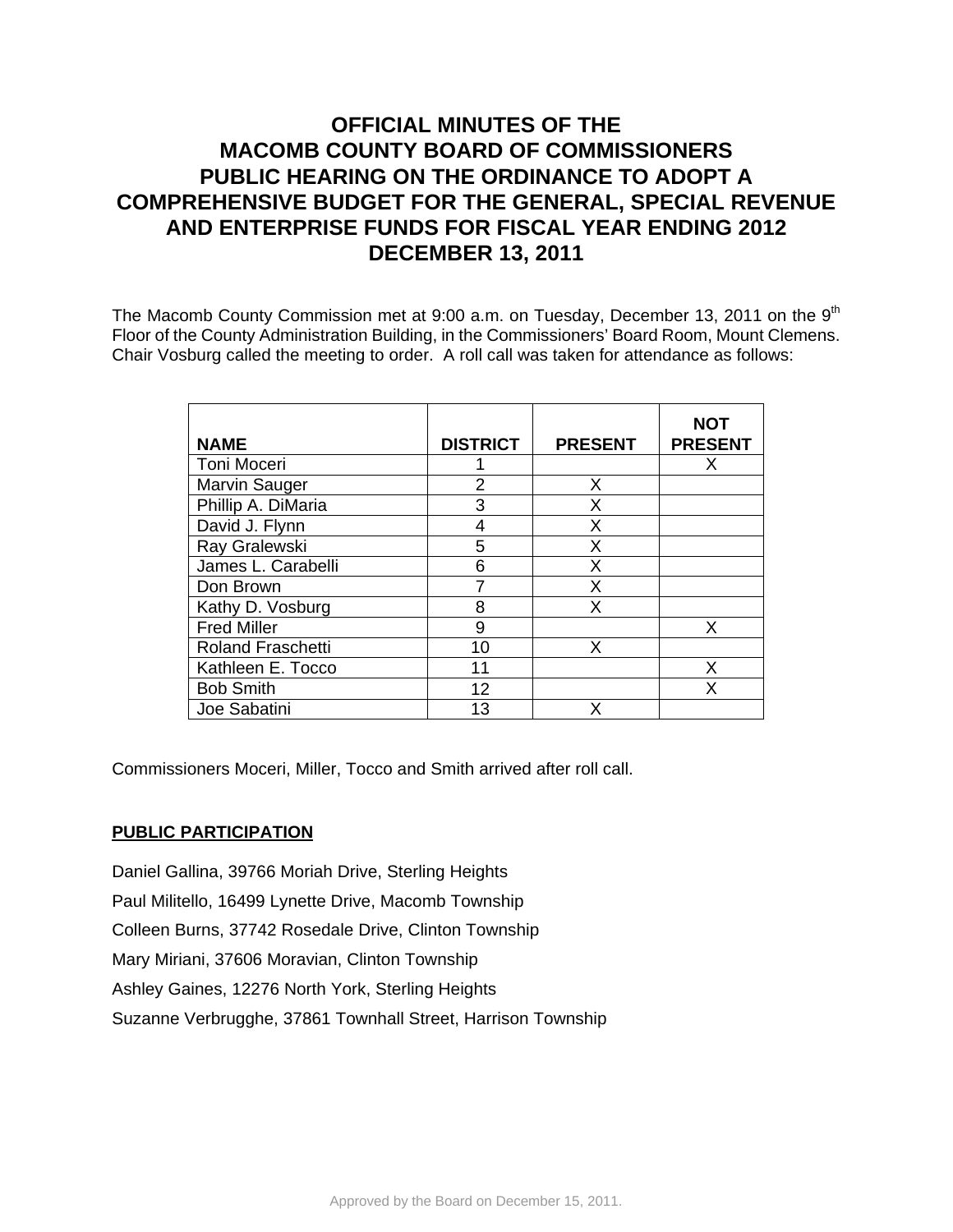# **OFFICIAL MINUTES OF THE MACOMB COUNTY BOARD OF COMMISSIONERS PUBLIC HEARING ON THE ORDINANCE TO ADOPT A COMPREHENSIVE BUDGET FOR THE GENERAL, SPECIAL REVENUE AND ENTERPRISE FUNDS FOR FISCAL YEAR ENDING 2012 DECEMBER 13, 2011**

The Macomb County Commission met at  $9:00$  a.m. on Tuesday, December 13, 2011 on the  $9<sup>th</sup>$ Floor of the County Administration Building, in the Commissioners' Board Room, Mount Clemens. Chair Vosburg called the meeting to order. A roll call was taken for attendance as follows:

| <b>NAME</b>              | <b>DISTRICT</b> | <b>PRESENT</b> | NOT<br><b>PRESENT</b> |
|--------------------------|-----------------|----------------|-----------------------|
| Toni Moceri              |                 |                | х                     |
| Marvin Sauger            | 2               | X              |                       |
| Phillip A. DiMaria       | 3               | X              |                       |
| David J. Flynn           | 4               | X              |                       |
| Ray Gralewski            | 5               | X              |                       |
| James L. Carabelli       | 6               | X              |                       |
| Don Brown                |                 | X              |                       |
| Kathy D. Vosburg         | 8               | X              |                       |
| <b>Fred Miller</b>       | 9               |                | x                     |
| <b>Roland Fraschetti</b> | 10              | X              |                       |
| Kathleen E. Tocco        | 11              |                | x                     |
| <b>Bob Smith</b>         | 12              |                | x                     |
| Joe Sabatini             | 13              | χ              |                       |

Commissioners Moceri, Miller, Tocco and Smith arrived after roll call.

## **PUBLIC PARTICIPATION**

Daniel Gallina, 39766 Moriah Drive, Sterling Heights Paul Militello, 16499 Lynette Drive, Macomb Township Colleen Burns, 37742 Rosedale Drive, Clinton Township Mary Miriani, 37606 Moravian, Clinton Township Ashley Gaines, 12276 North York, Sterling Heights Suzanne Verbrugghe, 37861 Townhall Street, Harrison Township